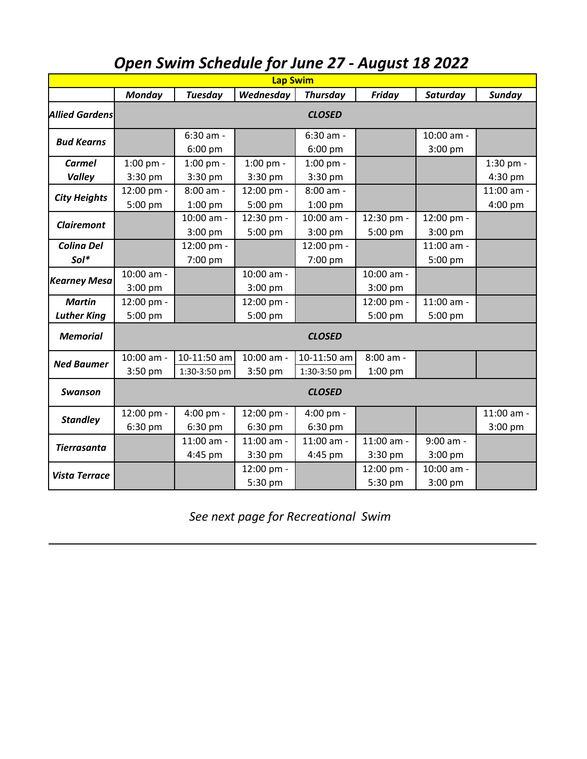| <b>Lap Swim</b>                     |                        |                             |                         |                             |                         |                         |                       |  |  |  |  |  |
|-------------------------------------|------------------------|-----------------------------|-------------------------|-----------------------------|-------------------------|-------------------------|-----------------------|--|--|--|--|--|
|                                     | <b>Monday</b>          | <b>Tuesday</b>              | Wednesday               | <b>Thursday</b>             | Friday                  | Saturday                | Sunday                |  |  |  |  |  |
| <b>Allied Gardens</b>               | <b>CLOSED</b>          |                             |                         |                             |                         |                         |                       |  |  |  |  |  |
| <b>Bud Kearns</b>                   |                        | 6:30 am -<br>$6:00$ pm      |                         | $6:30$ am -<br>$6:00$ pm    |                         | 10:00 am -<br>3:00 pm   |                       |  |  |  |  |  |
| Carmel<br><b>Valley</b>             | $1:00$ pm -<br>3:30 pm | $1:00$ pm -<br>3:30 pm      | 1:00 pm -<br>$3:30$ pm  | $1:00$ pm -<br>3:30 pm      |                         |                         | 1:30 pm -<br>4:30 pm  |  |  |  |  |  |
| <b>City Heights</b>                 | 12:00 pm -<br>5:00 pm  | 8:00 am -<br>$1:00$ pm      | 12:00 pm -<br>5:00 pm   | 8:00 am -<br>$1:00$ pm      |                         |                         | 11:00 am -<br>4:00 pm |  |  |  |  |  |
| <b>Clairemont</b>                   |                        | 10:00 am -<br>3:00 pm       | 12:30 pm -<br>5:00 pm   | 10:00 am -<br>3:00 pm       | 12:30 pm -<br>5:00 pm   | 12:00 pm -<br>$3:00$ pm |                       |  |  |  |  |  |
| <b>Colina Del</b><br>Sol*           |                        | 12:00 pm -<br>7:00 pm       |                         | 12:00 pm -<br>7:00 pm       |                         | 11:00 am -<br>5:00 pm   |                       |  |  |  |  |  |
| <b>Kearney Mesa</b>                 | 10:00 am -<br>3:00 pm  |                             | 10:00 am -<br>$3:00$ pm |                             | 10:00 am -<br>$3:00$ pm |                         |                       |  |  |  |  |  |
| <b>Martin</b><br><b>Luther King</b> | 12:00 pm -<br>5:00 pm  |                             | 12:00 pm -<br>5:00 pm   |                             | 12:00 pm -<br>5:00 pm   | 11:00 am -<br>5:00 pm   |                       |  |  |  |  |  |
| <b>Memorial</b>                     | <b>CLOSED</b>          |                             |                         |                             |                         |                         |                       |  |  |  |  |  |
| <b>Ned Baumer</b>                   | 10:00 am -<br>3:50 pm  | 10-11:50 am<br>1:30-3:50 pm | 10:00 am -<br>3:50 pm   | 10-11:50 am<br>1:30-3:50 pm | 8:00 am -<br>$1:00$ pm  |                         |                       |  |  |  |  |  |
| Swanson                             |                        |                             |                         | <b>CLOSED</b>               |                         |                         |                       |  |  |  |  |  |
| <b>Standley</b>                     | 12:00 pm -<br>6:30 pm  | 4:00 pm -<br>6:30 pm        | 12:00 pm -<br>6:30 pm   | 4:00 pm -<br>6:30 pm        |                         |                         | 11:00 am -<br>3:00 pm |  |  |  |  |  |
| <b>Tierrasanta</b>                  |                        | 11:00 am -<br>4:45 pm       | 11:00 am -<br>3:30 pm   | 11:00 am -<br>4:45 pm       | 11:00 am -<br>3:30 pm   | 9:00 am -<br>$3:00$ pm  |                       |  |  |  |  |  |
| <b>Vista Terrace</b>                |                        |                             | 12:00 pm -<br>5:30 pm   |                             | 12:00 pm -<br>5:30 pm   | 10:00 am -<br>3:00 pm   |                       |  |  |  |  |  |

## *Open Swim Schedule for June 27 - August 18 2022*

*See next page for Recreational Swim*